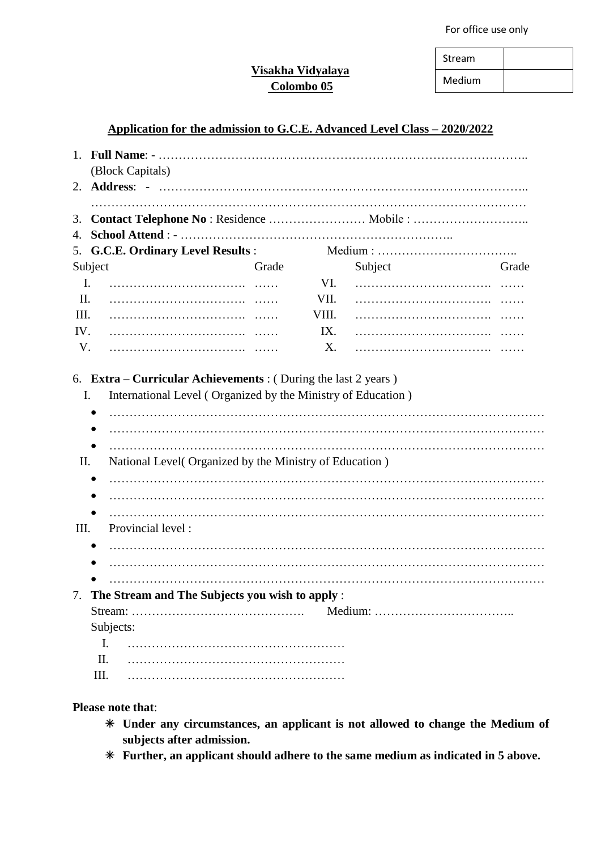For office use only

| Stream |  |
|--------|--|
| Medium |  |

# **Visakha Vidyalaya Colombo 05**

## **Application for the admission to G.C.E. Advanced Level Class – 2020/2022**

|          |           | (Block Capitals)                                        |       |       |         |       |  |  |
|----------|-----------|---------------------------------------------------------|-------|-------|---------|-------|--|--|
|          |           |                                                         |       |       |         |       |  |  |
| 3.<br>4. |           |                                                         |       |       |         |       |  |  |
|          |           | 5. G.C.E. Ordinary Level Results :                      |       |       |         |       |  |  |
|          | Subject   |                                                         | Grade |       | Subject | Grade |  |  |
|          | I.        |                                                         |       | VI.   |         |       |  |  |
| II.      |           |                                                         |       | VII.  |         |       |  |  |
| III.     |           |                                                         |       | VIII. |         |       |  |  |
| IV.      |           |                                                         |       | IX.   |         |       |  |  |
| V.       |           |                                                         |       | X.    |         |       |  |  |
| П.       |           | National Level (Organized by the Ministry of Education) |       |       |         |       |  |  |
|          |           |                                                         |       |       |         |       |  |  |
| Ш.       |           | Provincial level:                                       |       |       |         |       |  |  |
|          |           |                                                         |       |       |         |       |  |  |
| 7.       |           | The Stream and The Subjects you wish to apply :         |       |       |         |       |  |  |
|          |           |                                                         |       |       |         |       |  |  |
|          | Subjects: |                                                         |       |       |         |       |  |  |
|          | I.        |                                                         |       |       |         |       |  |  |
|          | II.       |                                                         |       |       |         |       |  |  |
|          | Ш.        |                                                         |       |       |         |       |  |  |

#### **Please note that**:

- **Under any circumstances, an applicant is not allowed to change the Medium of subjects after admission.**
- **Further, an applicant should adhere to the same medium as indicated in 5 above.**